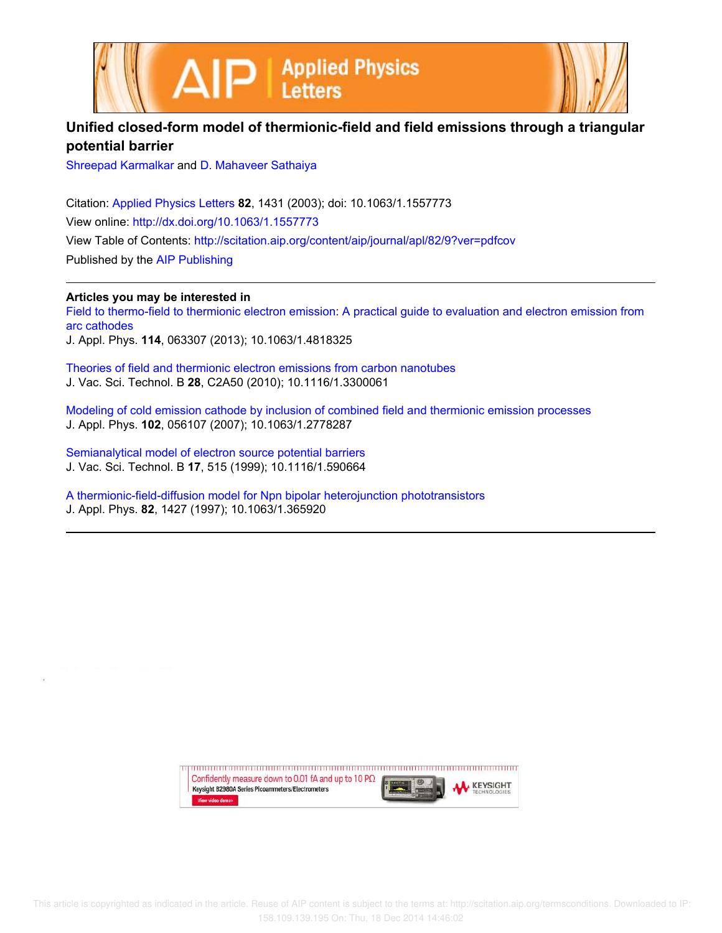

## **Unified closed-form model of thermionic-field and field emissions through a triangular potential barrier**

Shreepad Karmalkar and D. Mahaveer Sathaiya

Citation: Applied Physics Letters **82**, 1431 (2003); doi: 10.1063/1.1557773 View online: http://dx.doi.org/10.1063/1.1557773 View Table of Contents: http://scitation.aip.org/content/aip/journal/apl/82/9?ver=pdfcov Published by the AIP Publishing

**Articles you may be interested in**

Field to thermo-field to thermionic electron emission: A practical guide to evaluation and electron emission from arc cathodes

J. Appl. Phys. **114**, 063307 (2013); 10.1063/1.4818325

Theories of field and thermionic electron emissions from carbon nanotubes J. Vac. Sci. Technol. B **28**, C2A50 (2010); 10.1116/1.3300061

Modeling of cold emission cathode by inclusion of combined field and thermionic emission processes J. Appl. Phys. **102**, 056107 (2007); 10.1063/1.2778287

Semianalytical model of electron source potential barriers J. Vac. Sci. Technol. B **17**, 515 (1999); 10.1116/1.590664

A thermionic-field-diffusion model for Npn bipolar heterojunction phototransistors J. Appl. Phys. **82**, 1427 (1997); 10.1063/1.365920

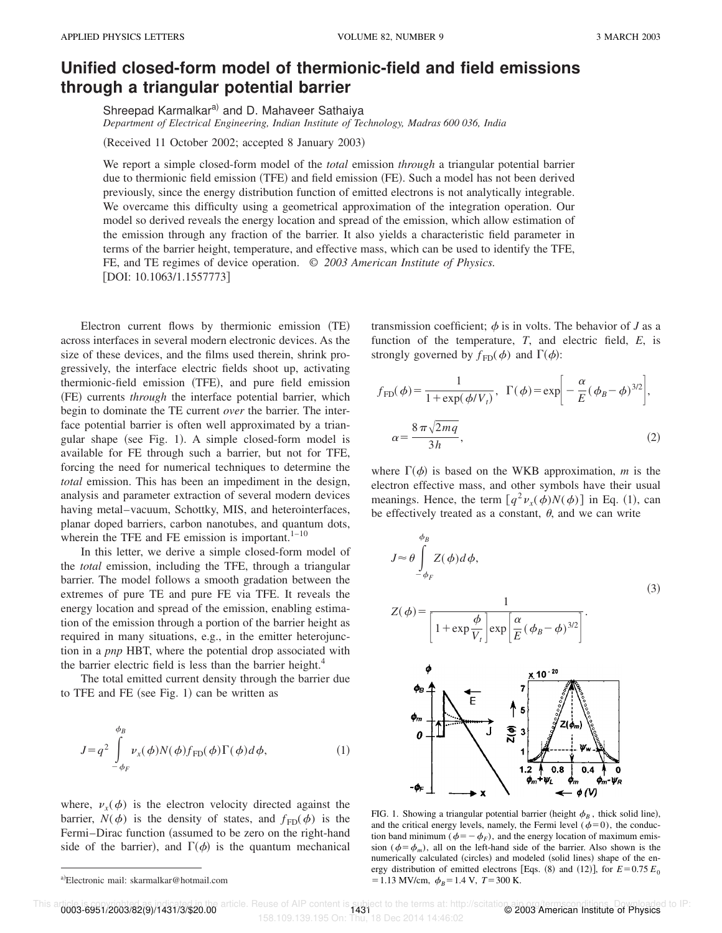## **Unified closed-form model of thermionic-field and field emissions through a triangular potential barrier**

Shreepad Karmalkar<sup>a)</sup> and D. Mahaveer Sathaiya

*Department of Electrical Engineering, Indian Institute of Technology, Madras 600 036, India*

(Received 11 October 2002; accepted 8 January 2003)

We report a simple closed-form model of the *total* emission *through* a triangular potential barrier due to thermionic field emission (TFE) and field emission (FE). Such a model has not been derived previously, since the energy distribution function of emitted electrons is not analytically integrable. We overcame this difficulty using a geometrical approximation of the integration operation. Our model so derived reveals the energy location and spread of the emission, which allow estimation of the emission through any fraction of the barrier. It also yields a characteristic field parameter in terms of the barrier height, temperature, and effective mass, which can be used to identify the TFE, FE, and TE regimes of device operation. © *2003 American Institute of Physics.* [DOI: 10.1063/1.1557773]

Electron current flows by thermionic emission (TE) across interfaces in several modern electronic devices. As the size of these devices, and the films used therein, shrink progressively, the interface electric fields shoot up, activating thermionic-field emission (TFE), and pure field emission (FE) currents *through* the interface potential barrier, which begin to dominate the TE current *over* the barrier. The interface potential barrier is often well approximated by a triangular shape (see Fig. 1). A simple closed-form model is available for FE through such a barrier, but not for TFE, forcing the need for numerical techniques to determine the *total* emission. This has been an impediment in the design, analysis and parameter extraction of several modern devices having metal–vacuum, Schottky, MIS, and heterointerfaces, planar doped barriers, carbon nanotubes, and quantum dots, wherein the TFE and FE emission is important. $1-10$ 

In this letter, we derive a simple closed-form model of the *total* emission, including the TFE, through a triangular barrier. The model follows a smooth gradation between the extremes of pure TE and pure FE via TFE. It reveals the energy location and spread of the emission, enabling estimation of the emission through a portion of the barrier height as required in many situations, e.g., in the emitter heterojunction in a *pnp* HBT, where the potential drop associated with the barrier electric field is less than the barrier height.<sup>4</sup>

The total emitted current density through the barrier due to TFE and FE (see Fig. 1) can be written as

$$
J = q^2 \int_{-\phi_F}^{\phi_B} \nu_x(\phi) N(\phi) f_{FD}(\phi) \Gamma(\phi) d\phi,
$$
 (1)

where,  $v_x(\phi)$  is the electron velocity directed against the barrier,  $N(\phi)$  is the density of states, and  $f_{FD}(\phi)$  is the Fermi–Dirac function (assumed to be zero on the right-hand side of the barrier), and  $\Gamma(\phi)$  is the quantum mechanical transmission coefficient;  $\phi$  is in volts. The behavior of *J* as a function of the temperature, *T*, and electric field, *E*, is strongly governed by  $f_{FD}(\phi)$  and  $\Gamma(\phi)$ :

$$
f_{FD}(\phi) = \frac{1}{1 + \exp(\phi/V_t)}, \ \Gamma(\phi) = \exp\left[-\frac{\alpha}{E}(\phi_B - \phi)^{3/2}\right],
$$

$$
\alpha = \frac{8\pi\sqrt{2mq}}{3h}, \tag{2}
$$

where  $\Gamma(\phi)$  is based on the WKB approximation, *m* is the electron effective mass, and other symbols have their usual meanings. Hence, the term  $\left[ q^2 v_x(\phi) N(\phi) \right]$  in Eq. (1), can be effectively treated as a constant,  $\theta$ , and we can write

$$
J \approx \theta \int_{-\phi_F}^{\phi_B} Z(\phi) d\phi,
$$
  
\n
$$
Z(\phi) = \frac{1}{\left[1 + \exp{\frac{\phi}{V_t}}\right] \exp\left[\frac{\alpha}{E}(\phi_B - \phi)^{3/2}\right]}.
$$
\n(3)



FIG. 1. Showing a triangular potential barrier (height  $\phi_B$ , thick solid line), and the critical energy levels, namely, the Fermi level ( $\phi=0$ ), the conduction band minimum  $(\phi = -\phi_F)$ , and the energy location of maximum emission ( $\phi = \phi_m$ ), all on the left-hand side of the barrier. Also shown is the numerically calculated (circles) and modeled (solid lines) shape of the energy distribution of emitted electrons [Eqs.  $(8)$  and  $(12)$ ], for  $E=0.75 E_0$  $=1.13$  MV/cm,  $\phi_B=1.4$  V,  $T=300$  K.

This article. A unic on the Subject to the terms at: http://scitation.com/terms.com/titions. Downloaded to IP:<br>158.109.139.195 On: Thu, 18 Dec 2014 14:46:02

a)Electronic mail: skarmalkar@hotmail.com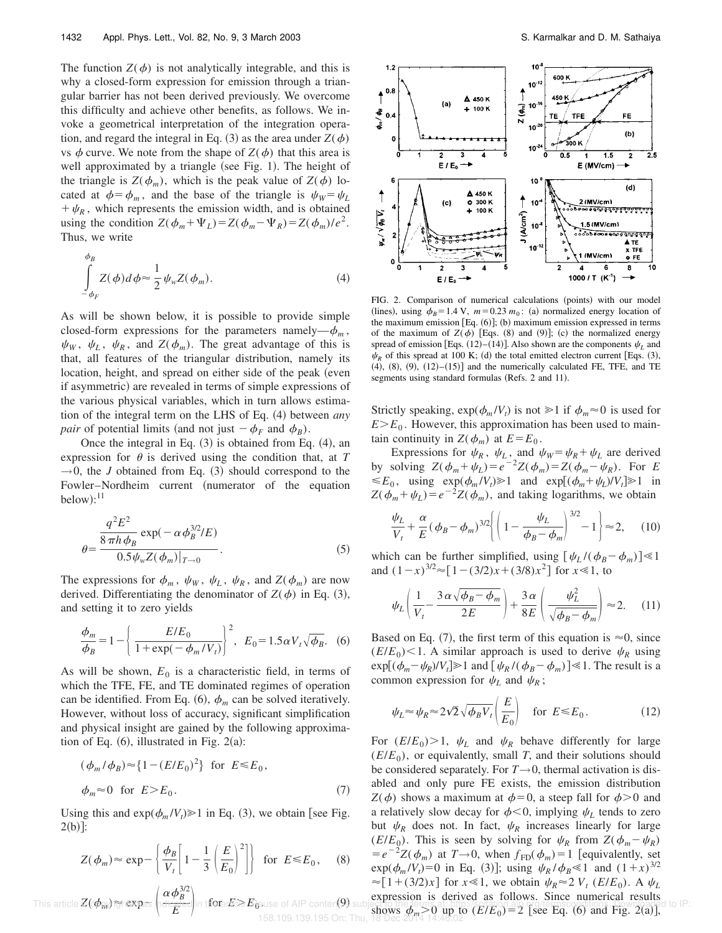The function  $Z(\phi)$  is not analytically integrable, and this is why a closed-form expression for emission through a triangular barrier has not been derived previously. We overcome this difficulty and achieve other benefits, as follows. We invoke a geometrical interpretation of the integration operation, and regard the integral in Eq. (3) as the area under  $Z(\phi)$ vs  $\phi$  curve. We note from the shape of  $Z(\phi)$  that this area is well approximated by a triangle (see Fig. 1). The height of the triangle is  $Z(\phi_m)$ , which is the peak value of  $Z(\phi)$  located at  $\phi = \phi_m$ , and the base of the triangle is  $\psi_W = \psi_L$  $+\psi_R$ , which represents the emission width, and is obtained using the condition  $Z(\phi_m + \Psi_L) = Z(\phi_m - \Psi_R) = Z(\phi_m)/e^2$ . Thus, we write

$$
\int_{-\phi_F}^{\phi_B} Z(\phi) d\phi \approx \frac{1}{2} \psi_w Z(\phi_m). \tag{4}
$$

As will be shown below, it is possible to provide simple closed-form expressions for the parameters namely— $\phi_m$ ,  $\psi_W$ ,  $\psi_L$ ,  $\psi_R$ , and  $Z(\phi_m)$ . The great advantage of this is that, all features of the triangular distribution, namely its location, height, and spread on either side of the peak (even if asymmetric) are revealed in terms of simple expressions of the various physical variables, which in turn allows estimation of the integral term on the LHS of Eq. (4) between *any pair* of potential limits (and not just  $-\phi_F$  and  $\phi_B$ ).

Once the integral in Eq.  $(3)$  is obtained from Eq.  $(4)$ , an expression for  $\theta$  is derived using the condition that, at *T*  $\rightarrow$ 0, the *J* obtained from Eq. (3) should correspond to the Fowler–Nordheim current (numerator of the equation below): $^{11}$ 

$$
= \frac{\frac{q^2 E^2}{8 \pi h \phi_B} \exp(-\alpha \phi_B^{3/2}/E)}{0.5 \psi_w Z(\phi_m)|_{T \to 0}}.
$$
 (5)

The expressions for  $\phi_m$ ,  $\psi_W$ ,  $\psi_L$ ,  $\psi_R$ , and  $Z(\phi_m)$  are now derived. Differentiating the denominator of  $Z(\phi)$  in Eq. (3), and setting it to zero yields

 $\epsilon$ 

$$
\frac{\phi_m}{\phi_B} = 1 - \left\{ \frac{E/E_0}{1 + \exp(-\phi_m/V_t)} \right\}^2, \ \ E_0 = 1.5 \alpha V_t \sqrt{\phi_B}. \tag{6}
$$

As will be shown,  $E_0$  is a characteristic field, in terms of which the TFE, FE, and TE dominated regimes of operation can be identified. From Eq.  $(6)$ ,  $\phi_m$  can be solved iteratively. However, without loss of accuracy, significant simplification and physical insight are gained by the following approximation of Eq.  $(6)$ , illustrated in Fig. 2 $(a)$ :

$$
(\phi_m/\phi_B) \approx \{1 - (E/E_0)^2\} \text{ for } E \le E_0,
$$
  

$$
\phi_m \approx 0 \text{ for } E > E_0.
$$
 (7)

Using this and  $exp(\phi_m / V_t) \ge 1$  in Eq. (3), we obtain [see Fig.  $2(b)$ :

$$
Z(\phi_m) \approx \exp - \left\{ \frac{\phi_B}{V_t} \left[ 1 - \frac{1}{3} \left( \frac{E}{E_0} \right)^2 \right] \right\} \text{ for } E \le E_0, \quad (8)
$$

This article 
$$
Z(\phi_m)
$$
  $\Rightarrow$   $\phi_B$   $\phi_B$   $\phi_B$   $\phi_B$   $\phi_B$   $\phi_B$   $\phi_B$   $\phi_B$   $\phi_B$   $\phi_B$   $\phi_B$   $\phi_B$   $\phi_B$   $\phi_B$   $\phi_B$   $\phi_B$   $\phi_B$   $\phi_B$   $\phi_B$   $\phi_B$   $\phi_B$   $\phi_B$   $\phi_B$   $\phi_B$   $\phi_B$   $\phi_B$   $\phi_B$   $\phi_B$   $\phi_B$   $\phi_B$   $\phi_B$   $\phi_B$   $\phi_B$   $\phi_B$   $\phi_B$   $\phi_B$   $\phi_B$   $\phi_B$   $\phi_B$   $\phi_B$   $\phi_B$   $\phi_B$   $\phi_B$   $\phi_B$   $\phi_B$   $\phi_B$   $\phi_B$   $\phi_B$   $\phi_B$   $\phi_B$   $\phi_B$   $\phi_B$   $\phi_B$   $\phi_B$   $\phi_B$   $\phi_B$   $\phi_B$   $\phi_B$   $\phi_B$   $\phi_B$   $\phi_B$   $\phi_B$   $\phi_B$   $\phi_B$   $\phi_B$   $\phi_B$   $\phi_B$   $$ 



FIG. 2. Comparison of numerical calculations (points) with our model (lines), using  $\phi_B = 1.4$  V,  $m = 0.23$   $m_0$ : (a) normalized energy location of the maximum emission  $[Eq. (6)]$ ; (b) maximum emission expressed in terms of the maximum of  $Z(\phi)$  [Eqs. (8) and (9)]; (c) the normalized energy spread of emission [Eqs.  $(12)$ – $(14)$ ]. Also shown are the components  $\psi_L$  and  $\psi_R$  of this spread at 100 K; (d) the total emitted electron current [Eqs. (3),  $(4)$ ,  $(8)$ ,  $(9)$ ,  $(12)$ – $(15)$ ] and the numerically calculated FE, TFE, and TE segments using standard formulas (Refs. 2 and 11).

Strictly speaking,  $\exp(\phi_m / V_t)$  is not  $\geq 1$  if  $\phi_m \approx 0$  is used for  $E>E_0$ . However, this approximation has been used to maintain continuity in  $Z(\phi_m)$  at  $E = E_0$ .

Expressions for  $\psi_R$ ,  $\psi_L$ , and  $\psi_W = \psi_R + \psi_L$  are derived by solving  $Z(\phi_m + \psi_L) = e^{-2}Z(\phi_m) = Z(\phi_m - \psi_R)$ . For *E*  $\leq E_0$ , using  $\exp(\phi_m / V_t) \geq 1$  and  $\exp[(\phi_m + \psi_L) / V_t] \geq 1$  in  $Z(\phi_m + \psi_L) = e^{-2}Z(\phi_m)$ , and taking logarithms, we obtain

$$
\frac{\psi_L}{V_t} + \frac{\alpha}{E} (\phi_B - \phi_m)^{3/2} \left\{ \left( 1 - \frac{\psi_L}{\phi_B - \phi_m} \right)^{3/2} - 1 \right\} \approx 2, \quad (10)
$$

which can be further simplified, using  $[\psi_L/(\phi_B - \phi_m)] \ll 1$ and  $(1-x)^{3/2} \approx [1-(3/2)x+(3/8)x^2]$  for  $x \ll 1$ , to

$$
\psi_L \left( \frac{1}{V_t} - \frac{3 \alpha \sqrt{\phi_B - \phi_m}}{2E} \right) + \frac{3 \alpha}{8E} \left( \frac{\psi_L^2}{\sqrt{\phi_B - \phi_m}} \right) \approx 2. \quad (11)
$$

Based on Eq. (7), the first term of this equation is  $\approx 0$ , since  $(E/E_0)$  < 1. A similar approach is used to derive  $\psi_R$  using  $\exp[(\phi_m - \psi_R)/V_t] \ge 1$  and  $[\psi_R/(\phi_B - \phi_m)] \le 1$ . The result is a common expression for  $\psi_L$  and  $\psi_R$ ;

$$
\psi_L \approx \psi_R \approx 2\sqrt{2}\sqrt{\phi_B V_t} \left(\frac{E}{E_0}\right) \quad \text{for } E \le E_0. \tag{12}
$$

For  $(E/E_0) > 1$ ,  $\psi_L$  and  $\psi_R$  behave differently for large  $(E/E<sub>0</sub>)$ , or equivalently, small *T*, and their solutions should be considered separately. For  $T \rightarrow 0$ , thermal activation is disabled and only pure FE exists, the emission distribution  $Z(\phi)$  shows a maximum at  $\phi=0$ , a steep fall for  $\phi>0$  and a relatively slow decay for  $\phi < 0$ , implying  $\psi_L$  tends to zero but  $\psi_R$  does not. In fact,  $\psi_R$  increases linearly for large (*E*/*E*<sub>0</sub>). This is seen by solving for  $\psi_R$  from  $Z(\phi_m - \psi_R)$  $= e^{-2}Z(\phi_m)$  at  $T \rightarrow 0$ , when  $f_{FD}(\phi_m) = 1$  [equivalently, set  $\exp(\phi_m/V_t) = 0$  in Eq. (3)]; using  $\psi_R / \phi_B \ll 1$  and  $(1+x)^{3/2}$  $\approx$  [1+(3/2)*x*] for *x*  $\ll$  1, we obtain  $\psi_R \approx$  2  $V_t$  (*E*/*E*<sub>0</sub>). A  $\psi_L$ expression is derived as follows. Since numerical results